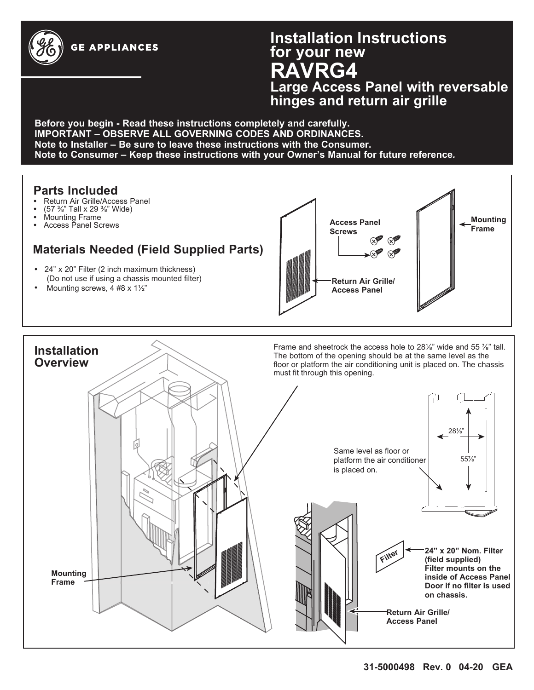

# **Installation Instructions for your new RAVRG4 Large Access Panel with reversable**

**hinges and return air grille**

**Before you begin - Read these instructions completely and carefully. IMPORTANT – OBSERVE ALL GOVERNING CODES AND ORDINANCES. Note to Installer – Be sure to leave these instructions with the Consumer. Note to Consumer – Keep these instructions with your Owner's Manual for future reference***.*

#### **Parts Included**

- Return Air Grille/Access Panel
- (57 Ǫ" Tall x 29 Ǫ" Wide)
- Mounting Frame

**Installation Overview**

• Access Panel Screws

## **Materials Needed (Field Supplied Parts)**

- 24" x 20" Filter (2 inch maximum thickness) (Do not use if using a chassis mounted filter)
- Mounting screws, 4 #8 x 1½"



Frame and sheetrock the access hole to 28<sup>1</sup>/<sub>8</sub>" wide and 55 <sup>7</sup>/<sub>8</sub>" tall. The bottom of the opening should be at the same level as the floor or platform the air conditioning unit is placed on. The chassis must fit through this opening.